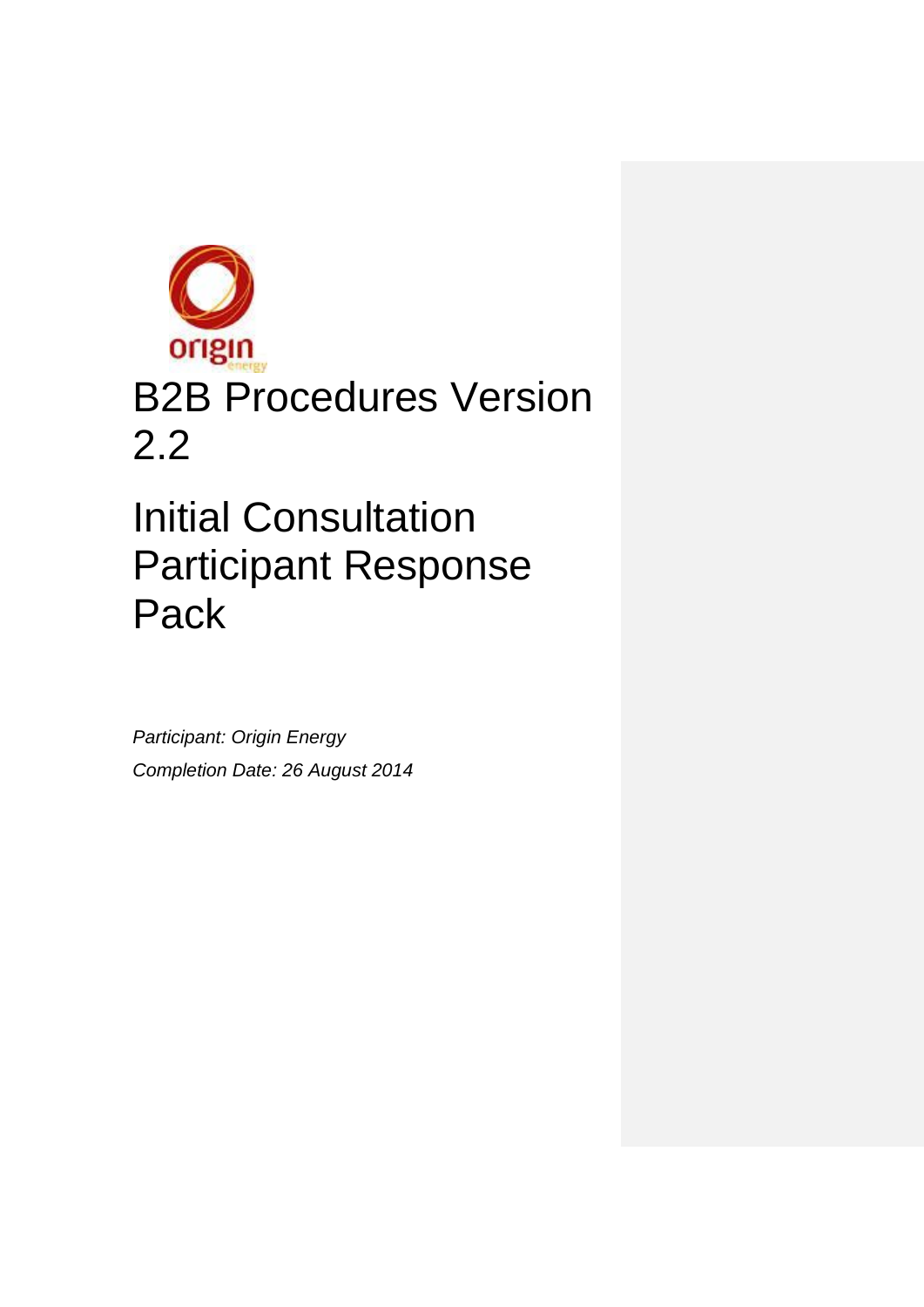

# [B2B](http://www.google.com/url?url=http://www.chill.com.au/smart-solutions/origin-5-cities-5-days-1-epic-campaign/&rct=j&frm=1&q=&esrc=s&sa=U&ei=lkDkU82gH4rd8AXt4IDgDg&ved=0CB4Q9QEwBA&usg=AFQjCNH51RGT3G1ZibKmNT64ws8pRq6kLA) Procedures Version 2.2

## Initial Consultation Participant Response Pack

*Participant: Origin Energy Completion Date: 26 August 2014*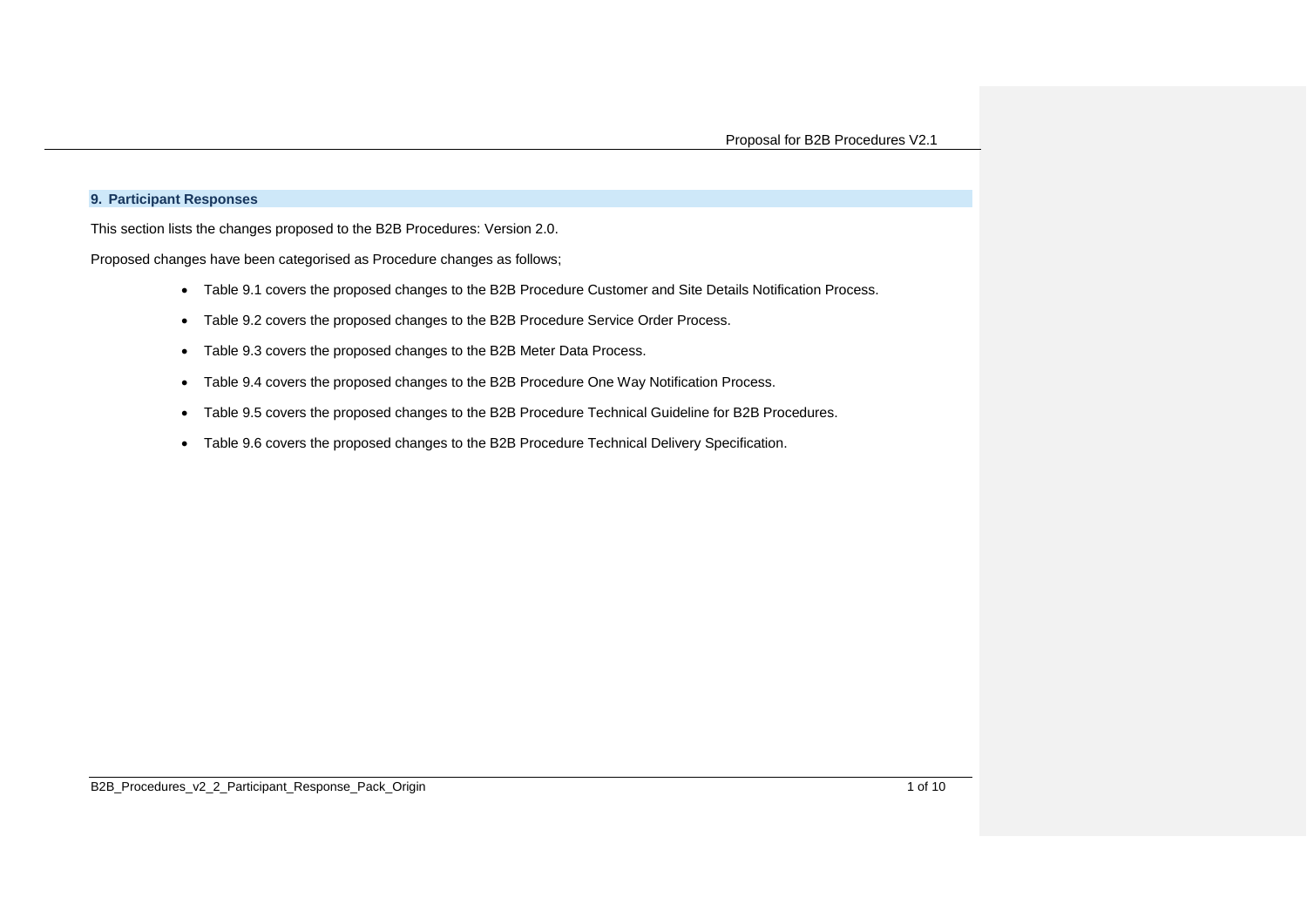#### **9. Participant Responses**

This section lists the changes proposed to the B2B Procedures: Version 2.0.

Proposed changes have been categorised as Procedure changes as follows;

- Table 9.1 covers the proposed changes to the B2B Procedure Customer and Site Details Notification Process.
- Table 9.2 covers the proposed changes to the B2B Procedure Service Order Process.
- Table 9.3 covers the proposed changes to the B2B Meter Data Process.
- Table 9.4 covers the proposed changes to the B2B Procedure One Way Notification Process.
- Table 9.5 covers the proposed changes to the B2B Procedure Technical Guideline for B2B Procedures.
- Table 9.6 covers the proposed changes to the B2B Procedure Technical Delivery Specification.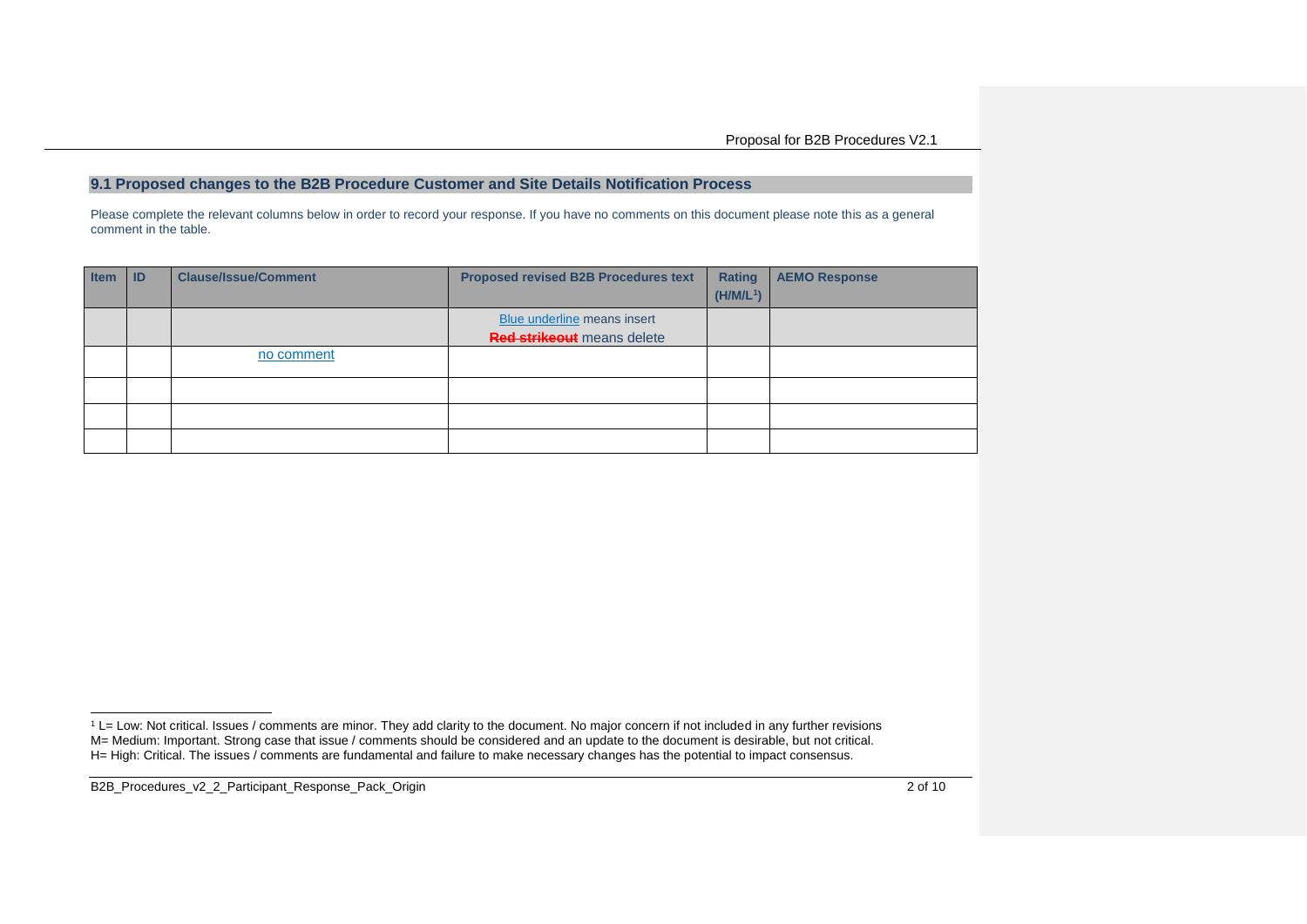#### **9.1 Proposed changes to the B2B Procedure Customer and Site Details Notification Process**

Please complete the relevant columns below in order to record your response. If you have no comments on this document please note this as a general comment in the table.

| <b>Item</b> | ID | <b>Clause/Issue/Comment</b> | <b>Proposed revised B2B Procedures text</b> | Rating<br>$(H/M/L^1)$ | <b>AEMO Response</b> |
|-------------|----|-----------------------------|---------------------------------------------|-----------------------|----------------------|
|             |    |                             | Blue underline means insert                 |                       |                      |
|             |    |                             | <b>Red strikeout</b> means delete           |                       |                      |
|             |    | no comment                  |                                             |                       |                      |
|             |    |                             |                                             |                       |                      |
|             |    |                             |                                             |                       |                      |
|             |    |                             |                                             |                       |                      |

B2B\_Procedures\_v2\_2\_Participant\_Response\_Pack\_Origin 2 of 10

-

 $1$  L= Low: Not critical. Issues / comments are minor. They add clarity to the document. No major concern if not included in any further revisions M= Medium: Important. Strong case that issue / comments should be considered and an update to the document is desirable, but not critical. H= High: Critical. The issues / comments are fundamental and failure to make necessary changes has the potential to impact consensus.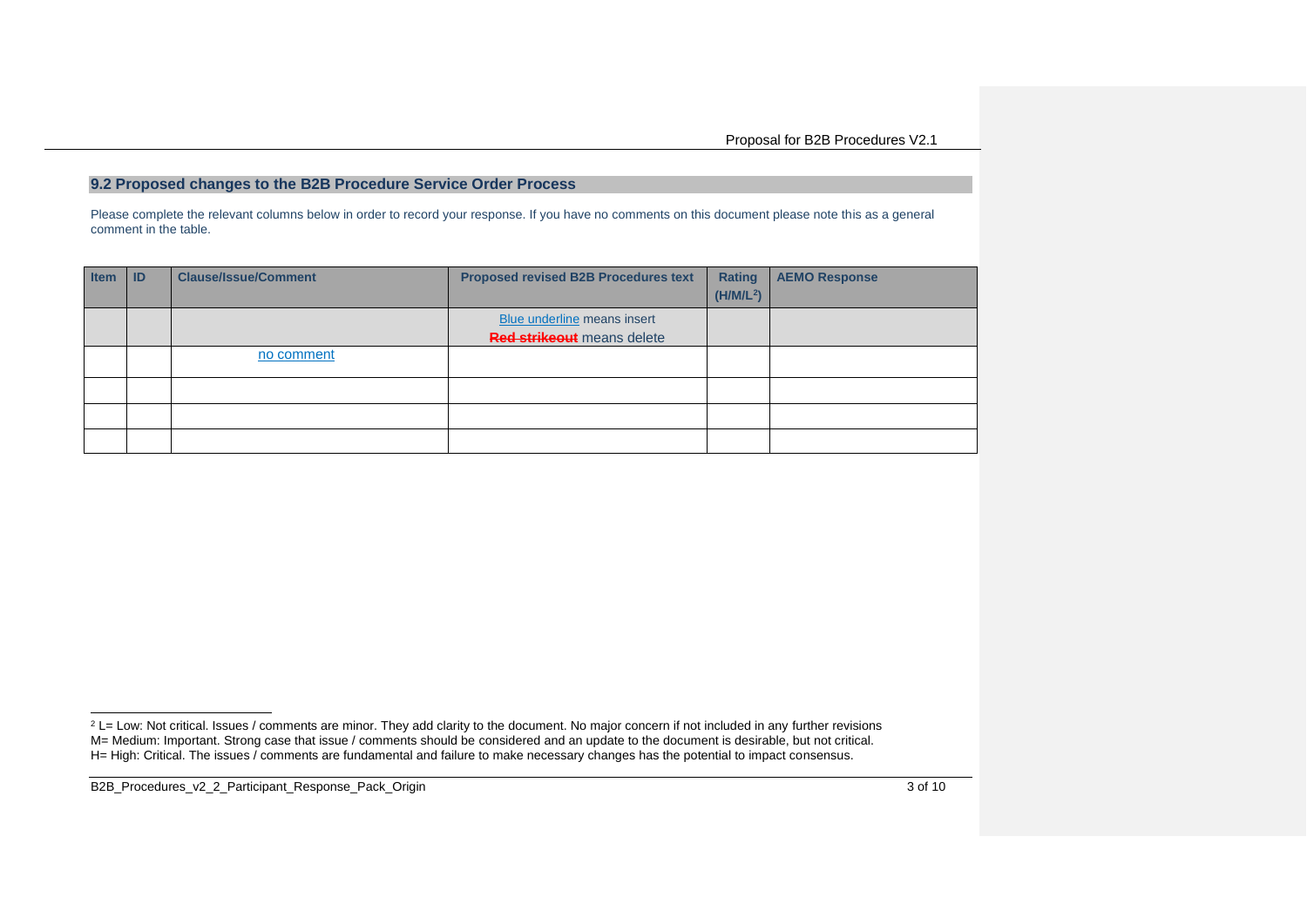#### **9.2 Proposed changes to the B2B Procedure Service Order Process**

Please complete the relevant columns below in order to record your response. If you have no comments on this document please note this as a general comment in the table.

| <b>Item</b> | <b>ID</b> | <b>Clause/Issue/Comment</b> | <b>Proposed revised B2B Procedures text</b> | Rating<br>(H/M/L <sup>2</sup> ) | <b>AEMO Response</b> |
|-------------|-----------|-----------------------------|---------------------------------------------|---------------------------------|----------------------|
|             |           |                             | Blue underline means insert                 |                                 |                      |
|             |           |                             | <b>Red strikeout</b> means delete           |                                 |                      |
|             |           | no comment                  |                                             |                                 |                      |
|             |           |                             |                                             |                                 |                      |
|             |           |                             |                                             |                                 |                      |
|             |           |                             |                                             |                                 |                      |

B2B\_Procedures\_v2\_2\_Participant\_Response\_Pack\_Origin 3 of 10

<sup>-</sup> $^2$  L= Low: Not critical. Issues / comments are minor. They add clarity to the document. No major concern if not included in any further revisions M= Medium: Important. Strong case that issue / comments should be considered and an update to the document is desirable, but not critical. H= High: Critical. The issues / comments are fundamental and failure to make necessary changes has the potential to impact consensus.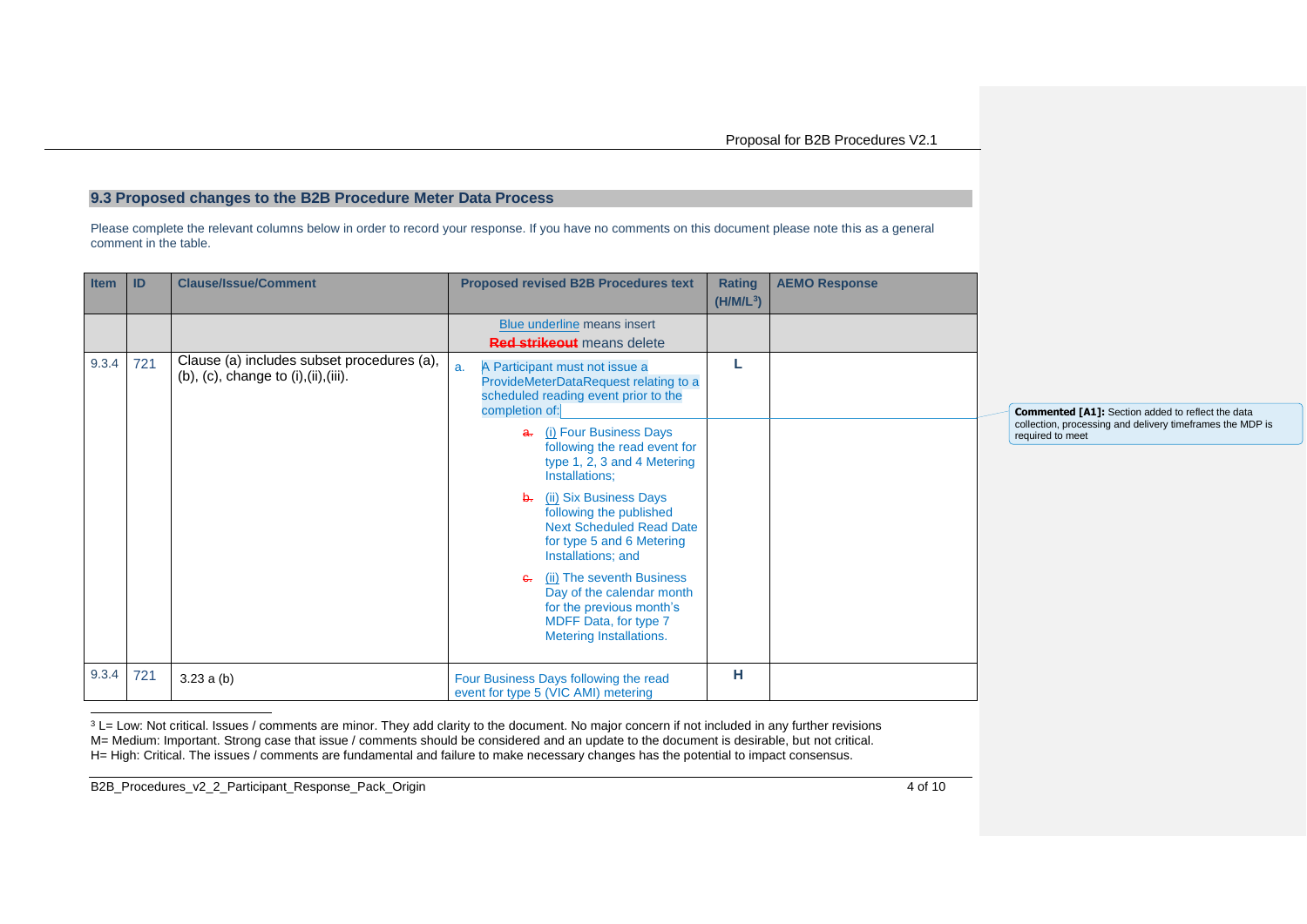Proposal for B2B Procedures V2.1

### **9.3 Proposed changes to the B2B Procedure Meter Data Process**

Please complete the relevant columns below in order to record your response. If you have no comments on this document please note this as a general comment in the table.

| <b>Item</b> | ID  | <b>Clause/Issue/Comment</b>                                                                        | <b>Proposed revised B2B Procedures text</b>                                                                                                                                                                                                                                                                                                                                                                                                                                                                                                                                  | <b>Rating</b><br>$(H/M/L^3)$ | <b>AEMO Response</b> |  |
|-------------|-----|----------------------------------------------------------------------------------------------------|------------------------------------------------------------------------------------------------------------------------------------------------------------------------------------------------------------------------------------------------------------------------------------------------------------------------------------------------------------------------------------------------------------------------------------------------------------------------------------------------------------------------------------------------------------------------------|------------------------------|----------------------|--|
|             |     |                                                                                                    | Blue underline means insert<br><b>Red strikeout</b> means delete                                                                                                                                                                                                                                                                                                                                                                                                                                                                                                             |                              |                      |  |
| 9.3.4       | 721 | Clause (a) includes subset procedures (a),<br>$(b)$ , $(c)$ , change to $(i)$ , $(ii)$ , $(iii)$ . | A Participant must not issue a<br>a.<br>ProvideMeterDataRequest relating to a<br>scheduled reading event prior to the<br>completion of:<br>a. (i) Four Business Days<br>following the read event for<br>type 1, 2, 3 and 4 Metering<br>Installations;<br>(ii) Six Business Days<br>$\mathbf{b}$<br>following the published<br><b>Next Scheduled Read Date</b><br>for type 5 and 6 Metering<br>Installations; and<br>(ii) The seventh Business<br>G <sub>r</sub><br>Day of the calendar month<br>for the previous month's<br>MDFF Data, for type 7<br>Metering Installations. |                              |                      |  |
| 9.3.4       | 721 | 3.23 a (b)                                                                                         | Four Business Days following the read<br>event for type 5 (VIC AMI) metering                                                                                                                                                                                                                                                                                                                                                                                                                                                                                                 | н                            |                      |  |

**Commented [A1]:** Section added to reflect the data collection, processing and delivery timeframes the MDP is required to meet

- $3$  L= Low: Not critical. Issues / comments are minor. They add clarity to the document. No major concern if not included in any further revisions M= Medium: Important. Strong case that issue / comments should be considered and an update to the document is desirable, but not critical. H= High: Critical. The issues / comments are fundamental and failure to make necessary changes has the potential to impact consensus.

B2B\_Procedures\_v2\_2\_Participant\_Response\_Pack\_Origin 4 of 10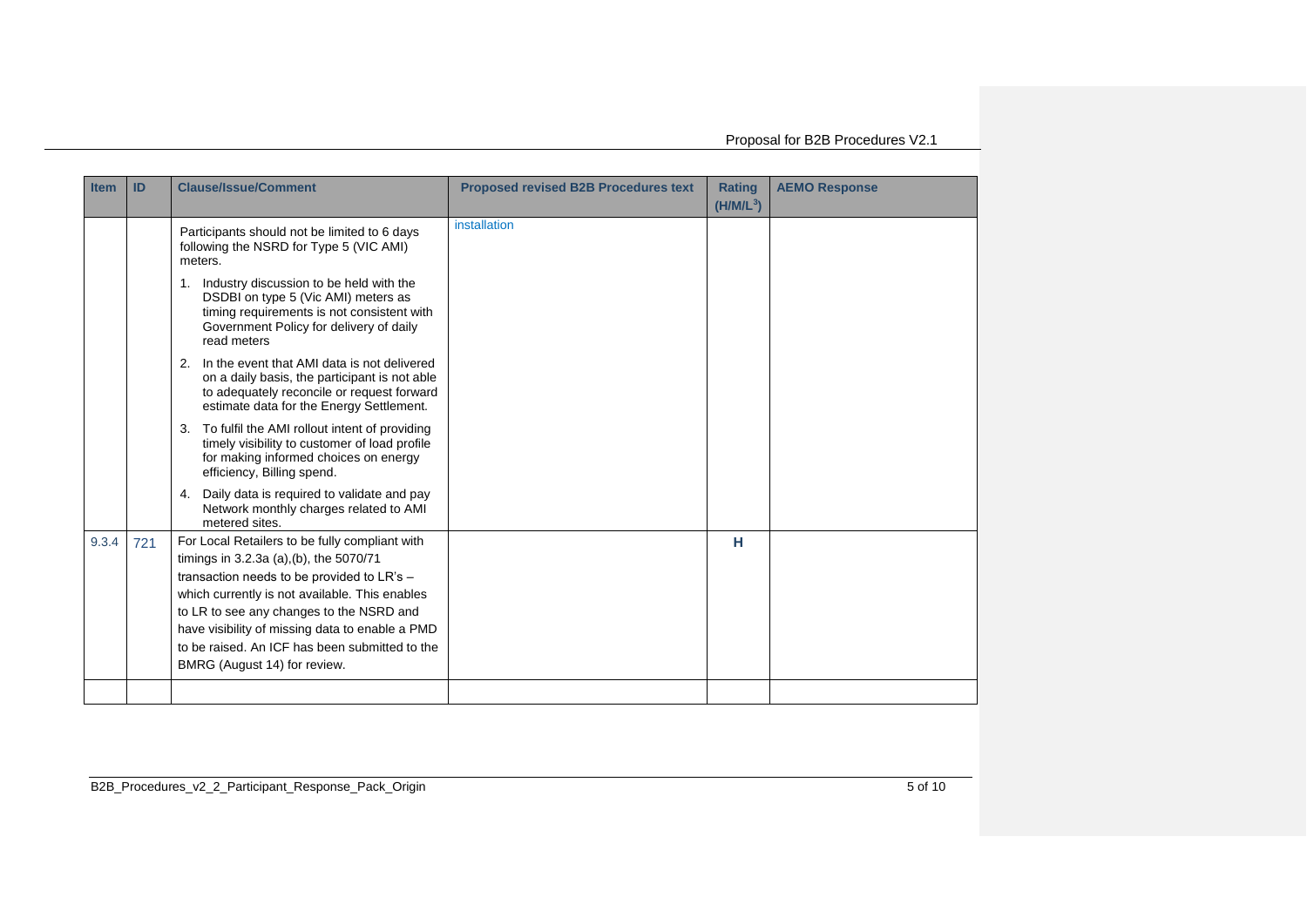Proposal for B2B Procedures V2.1

| <b>Item</b> | ID  | <b>Clause/Issue/Comment</b>                                                                                                                                                                                                                                                                                                                                               | <b>Proposed revised B2B Procedures text</b> | <b>Rating</b><br>$(H/M/L^3)$ | <b>AEMO Response</b> |
|-------------|-----|---------------------------------------------------------------------------------------------------------------------------------------------------------------------------------------------------------------------------------------------------------------------------------------------------------------------------------------------------------------------------|---------------------------------------------|------------------------------|----------------------|
|             |     | Participants should not be limited to 6 days<br>following the NSRD for Type 5 (VIC AMI)<br>meters.                                                                                                                                                                                                                                                                        | installation                                |                              |                      |
|             |     | 1. Industry discussion to be held with the<br>DSDBI on type 5 (Vic AMI) meters as<br>timing requirements is not consistent with<br>Government Policy for delivery of daily<br>read meters                                                                                                                                                                                 |                                             |                              |                      |
|             |     | 2. In the event that AMI data is not delivered<br>on a daily basis, the participant is not able<br>to adequately reconcile or request forward<br>estimate data for the Energy Settlement.                                                                                                                                                                                 |                                             |                              |                      |
|             |     | To fulfil the AMI rollout intent of providing<br>3.<br>timely visibility to customer of load profile<br>for making informed choices on energy<br>efficiency, Billing spend.                                                                                                                                                                                               |                                             |                              |                      |
|             |     | 4. Daily data is required to validate and pay<br>Network monthly charges related to AMI<br>metered sites.                                                                                                                                                                                                                                                                 |                                             |                              |                      |
| 9.3.4       | 721 | For Local Retailers to be fully compliant with<br>timings in 3.2.3a (a),(b), the 5070/71<br>transaction needs to be provided to LR's -<br>which currently is not available. This enables<br>to LR to see any changes to the NSRD and<br>have visibility of missing data to enable a PMD<br>to be raised. An ICF has been submitted to the<br>BMRG (August 14) for review. |                                             | н                            |                      |
|             |     |                                                                                                                                                                                                                                                                                                                                                                           |                                             |                              |                      |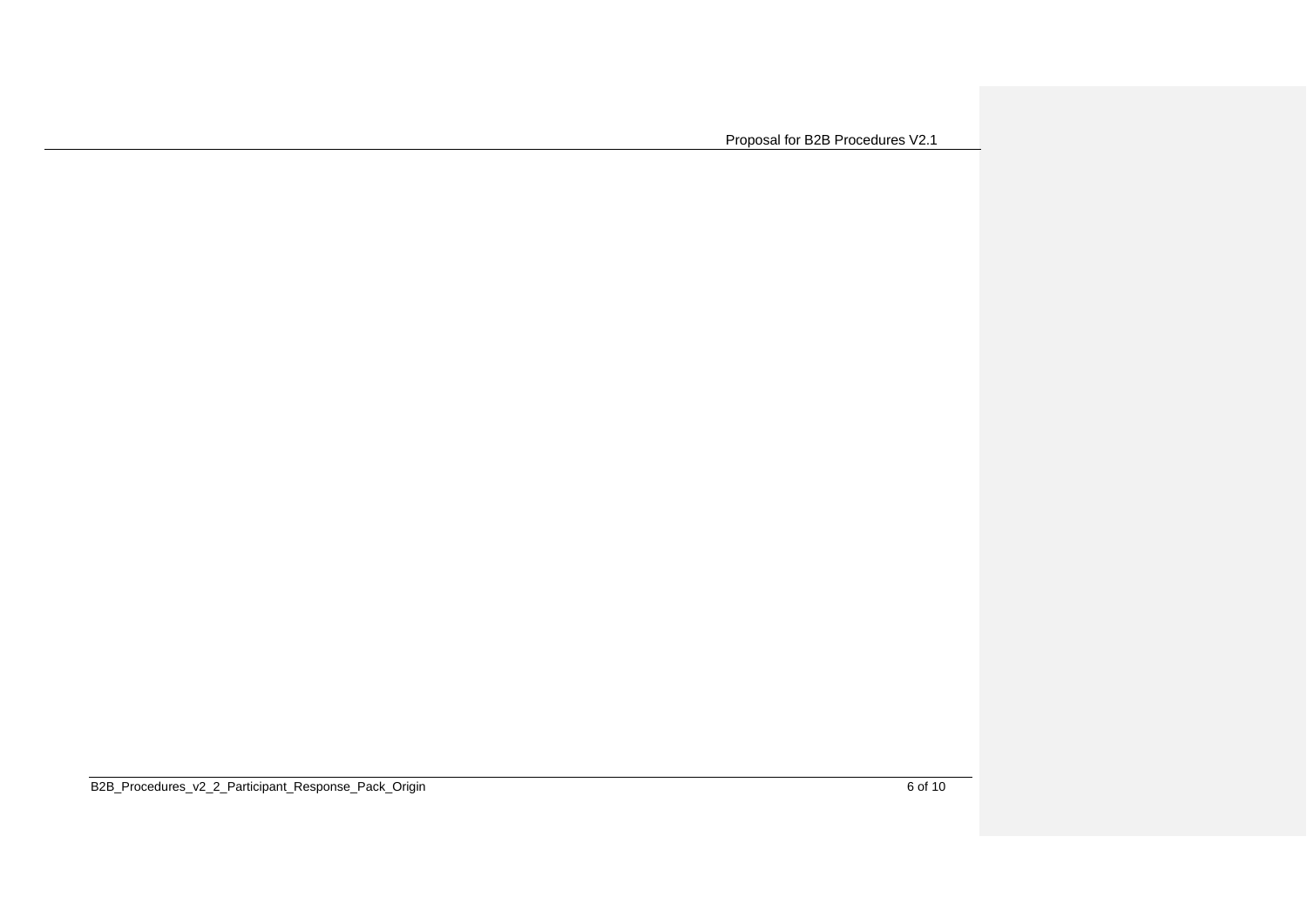Proposal for B2B Procedures V2.1

B2B\_Procedures\_v2\_2\_Participant\_Response\_Pack\_Origin 6 of 10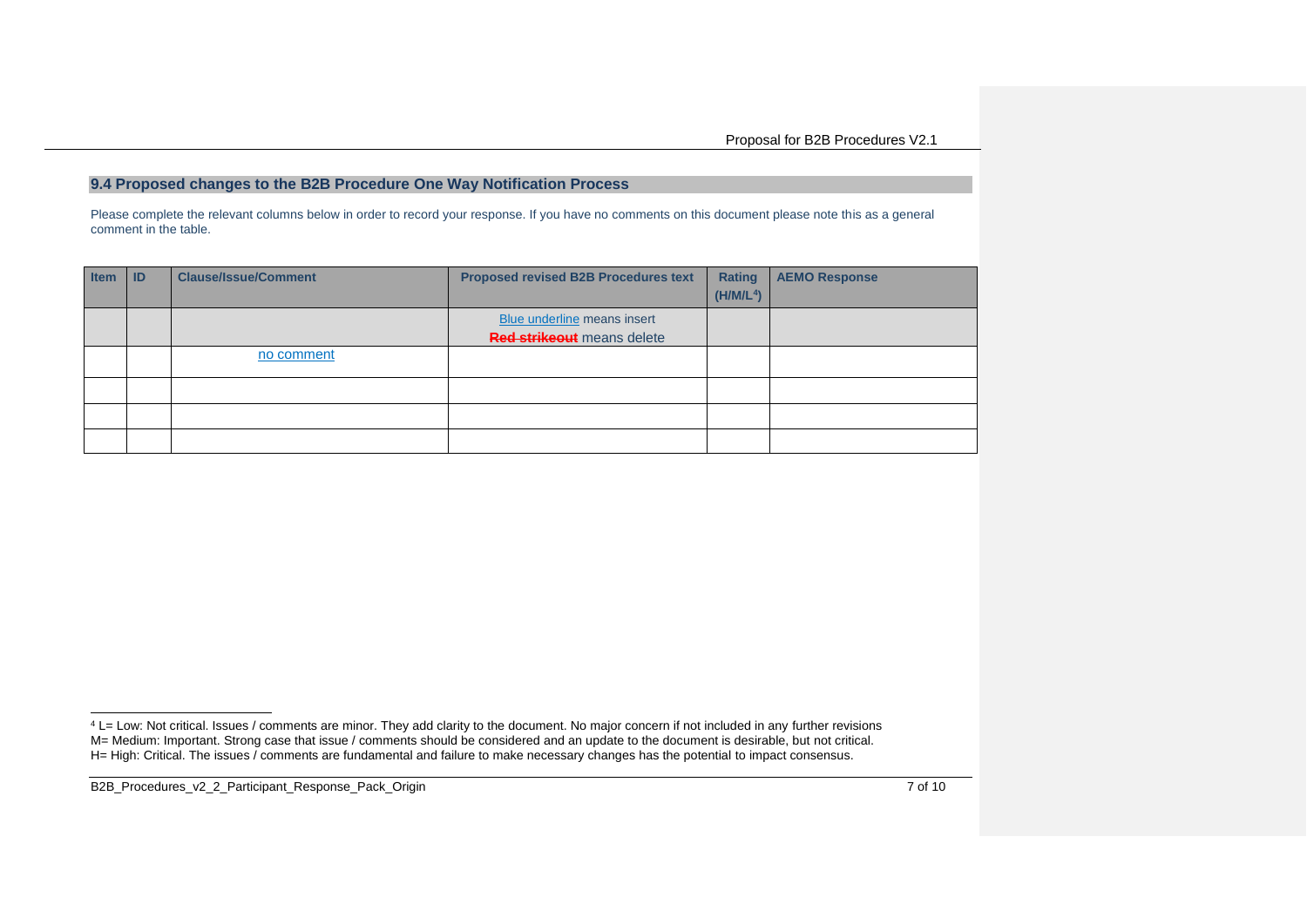### **9.4 Proposed changes to the B2B Procedure One Way Notification Process**

Please complete the relevant columns below in order to record your response. If you have no comments on this document please note this as a general comment in the table.

| <b>Item</b> | <b>ID</b> | <b>Clause/Issue/Comment</b> | <b>Proposed revised B2B Procedures text</b>                      | <b>Rating</b><br>(H/M/L <sup>4</sup> ) | <b>AEMO Response</b> |
|-------------|-----------|-----------------------------|------------------------------------------------------------------|----------------------------------------|----------------------|
|             |           |                             | Blue underline means insert<br><b>Red strikeout</b> means delete |                                        |                      |
|             |           | no comment                  |                                                                  |                                        |                      |
|             |           |                             |                                                                  |                                        |                      |
|             |           |                             |                                                                  |                                        |                      |
|             |           |                             |                                                                  |                                        |                      |

B2B\_Procedures\_v2\_2\_Participant\_Response\_Pack\_Origin 7 of 10

<sup>-</sup><sup>4</sup> L= Low: Not critical. Issues / comments are minor. They add clarity to the document. No major concern if not included in any further revisions M= Medium: Important. Strong case that issue / comments should be considered and an update to the document is desirable, but not critical. H= High: Critical. The issues / comments are fundamental and failure to make necessary changes has the potential to impact consensus.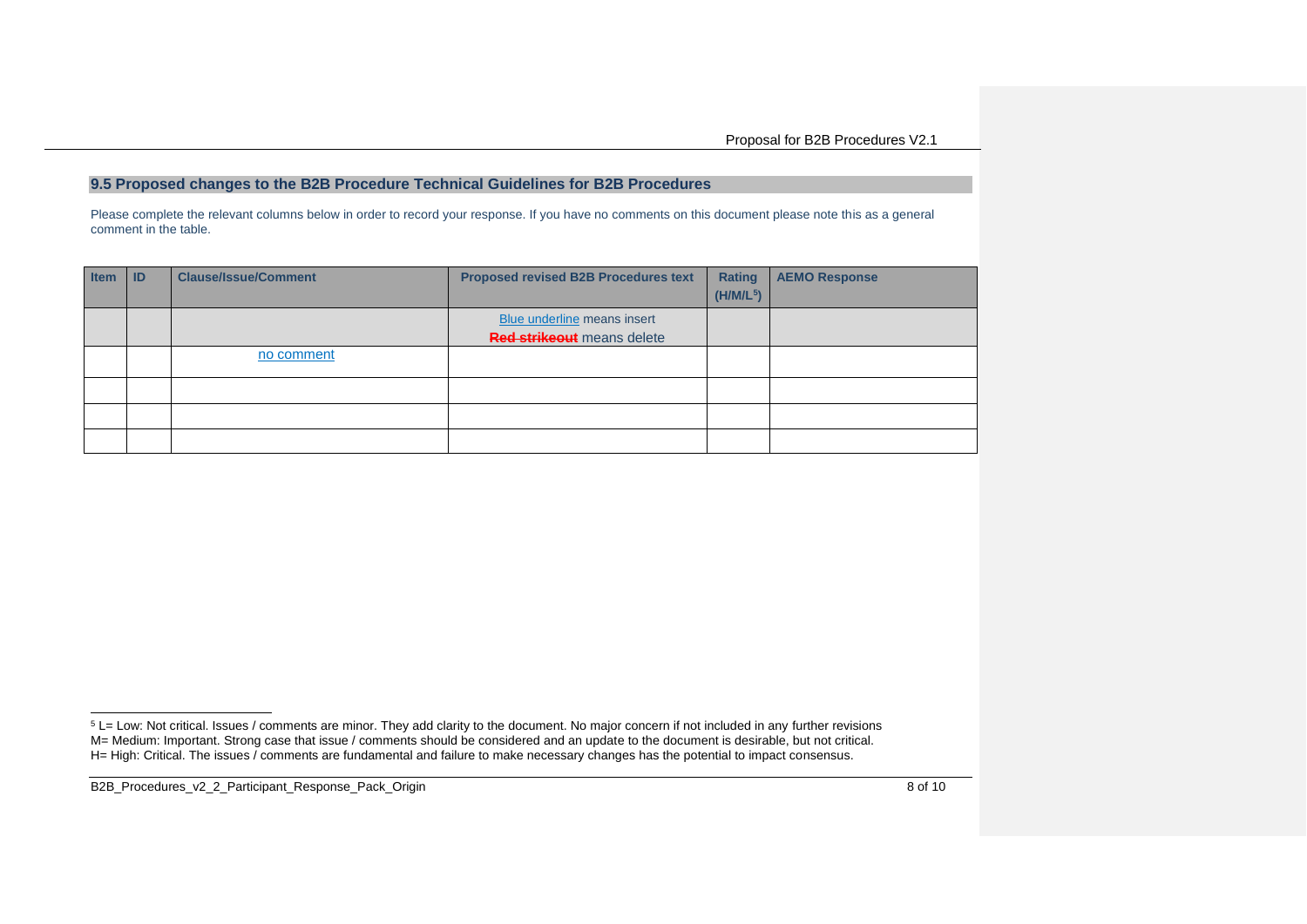#### **9.5 Proposed changes to the B2B Procedure Technical Guidelines for B2B Procedures**

Please complete the relevant columns below in order to record your response. If you have no comments on this document please note this as a general comment in the table.

| <b>Item</b> | <b>ID</b> | <b>Clause/Issue/Comment</b> | <b>Proposed revised B2B Procedures text</b> | <b>Rating</b><br>(H/M/L <sup>5</sup> ) | <b>AEMO Response</b> |
|-------------|-----------|-----------------------------|---------------------------------------------|----------------------------------------|----------------------|
|             |           |                             | Blue underline means insert                 |                                        |                      |
|             |           |                             | <b>Red strikeout</b> means delete           |                                        |                      |
|             |           | no comment                  |                                             |                                        |                      |
|             |           |                             |                                             |                                        |                      |
|             |           |                             |                                             |                                        |                      |
|             |           |                             |                                             |                                        |                      |

B2B\_Procedures\_v2\_2\_Participant\_Response\_Pack\_Origin 8 of 10

<sup>-</sup> $5$  L= Low: Not critical. Issues / comments are minor. They add clarity to the document. No major concern if not included in any further revisions M= Medium: Important. Strong case that issue / comments should be considered and an update to the document is desirable, but not critical. H= High: Critical. The issues / comments are fundamental and failure to make necessary changes has the potential to impact consensus.